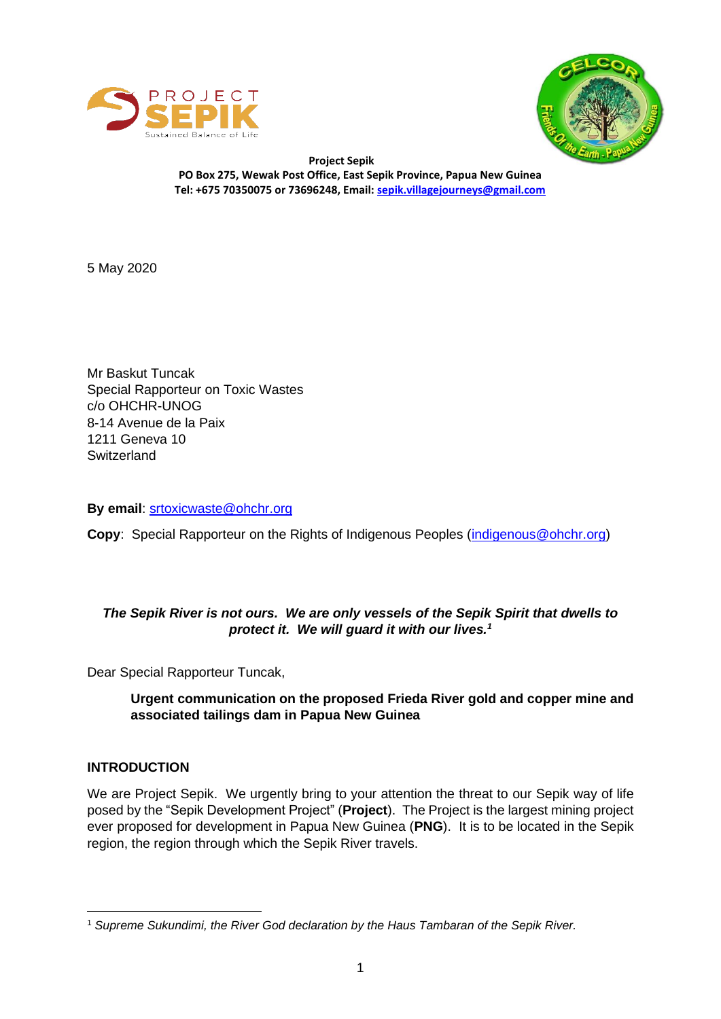



 **Project Sepik PO Box 275, Wewak Post Office, East Sepik Province, Papua New Guinea Tel: +675 70350075 or 73696248, Email[: sepik.villagejourneys@gmail.com](mailto:sepik.villagejourneys@gmail.com)**

5 May 2020

Mr Baskut Tuncak Special Rapporteur on Toxic Wastes c/o OHCHR-UNOG 8-14 Avenue de la Paix 1211 Geneva 10 **Switzerland** 

**By email**: [srtoxicwaste@ohchr.org](mailto:srtoxicwaste@ohchr.org)

**Copy**: Special Rapporteur on the Rights of Indigenous Peoples [\(indigenous@ohchr.org\)](mailto:indigenous@ohchr.org)

# *The Sepik River is not ours. We are only vessels of the Sepik Spirit that dwells to protect it. We will guard it with our lives.<sup>1</sup>*

Dear Special Rapporteur Tuncak,

**Urgent communication on the proposed Frieda River gold and copper mine and associated tailings dam in Papua New Guinea**

## **INTRODUCTION**

We are Project Sepik. We urgently bring to your attention the threat to our Sepik way of life posed by the "Sepik Development Project" (**Project**). The Project is the largest mining project ever proposed for development in Papua New Guinea (**PNG**). It is to be located in the Sepik region, the region through which the Sepik River travels.

<sup>1</sup> *Supreme Sukundimi, the River God declaration by the Haus Tambaran of the Sepik River.*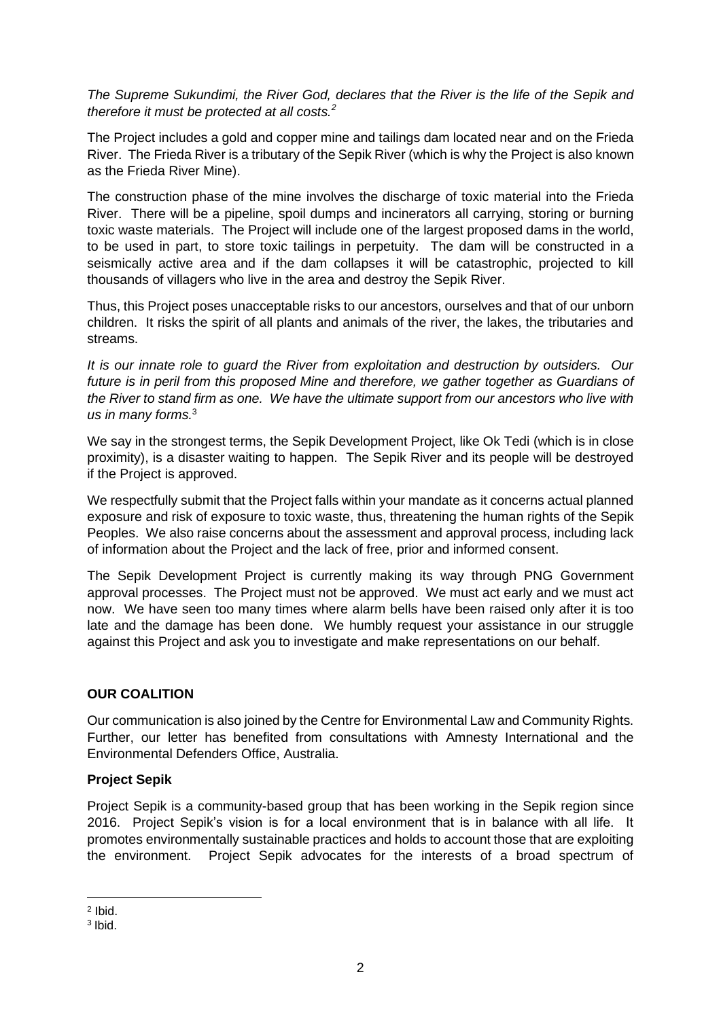*The Supreme Sukundimi, the River God, declares that the River is the life of the Sepik and therefore it must be protected at all costs.<sup>2</sup>*

The Project includes a gold and copper mine and tailings dam located near and on the Frieda River. The Frieda River is a tributary of the Sepik River (which is why the Project is also known as the Frieda River Mine).

The construction phase of the mine involves the discharge of toxic material into the Frieda River. There will be a pipeline, spoil dumps and incinerators all carrying, storing or burning toxic waste materials. The Project will include one of the largest proposed dams in the world, to be used in part, to store toxic tailings in perpetuity. The dam will be constructed in a seismically active area and if the dam collapses it will be catastrophic, projected to kill thousands of villagers who live in the area and destroy the Sepik River.

Thus, this Project poses unacceptable risks to our ancestors, ourselves and that of our unborn children. It risks the spirit of all plants and animals of the river, the lakes, the tributaries and streams.

*It is our innate role to guard the River from exploitation and destruction by outsiders. Our future is in peril from this proposed Mine and therefore, we gather together as Guardians of the River to stand firm as one. We have the ultimate support from our ancestors who live with us in many forms.*<sup>3</sup>

We say in the strongest terms, the Sepik Development Project, like Ok Tedi (which is in close proximity), is a disaster waiting to happen. The Sepik River and its people will be destroyed if the Project is approved.

We respectfully submit that the Project falls within your mandate as it concerns actual planned exposure and risk of exposure to toxic waste, thus, threatening the human rights of the Sepik Peoples. We also raise concerns about the assessment and approval process, including lack of information about the Project and the lack of free, prior and informed consent.

The Sepik Development Project is currently making its way through PNG Government approval processes. The Project must not be approved. We must act early and we must act now. We have seen too many times where alarm bells have been raised only after it is too late and the damage has been done. We humbly request your assistance in our struggle against this Project and ask you to investigate and make representations on our behalf.

## **OUR COALITION**

Our communication is also joined by the Centre for Environmental Law and Community Rights. Further, our letter has benefited from consultations with Amnesty International and the Environmental Defenders Office, Australia.

### **Project Sepik**

Project Sepik is a community-based group that has been working in the Sepik region since 2016. Project Sepik's vision is for a local environment that is in balance with all life. It promotes environmentally sustainable practices and holds to account those that are exploiting the environment. Project Sepik advocates for the interests of a broad spectrum of

<sup>2</sup> Ibid.

<sup>3</sup> Ibid.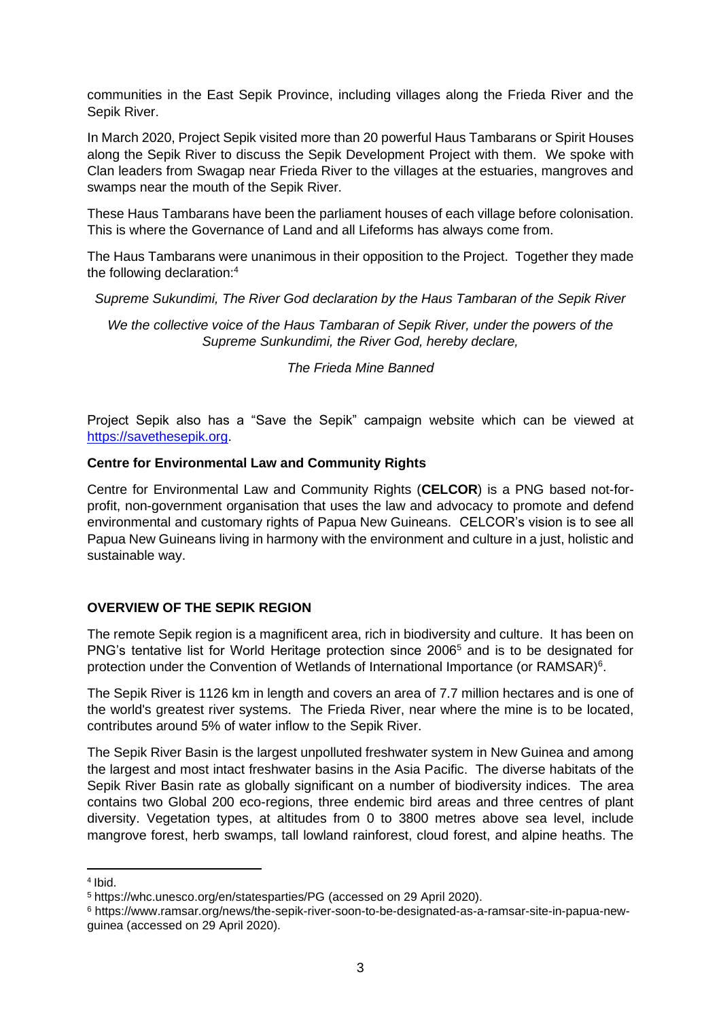communities in the East Sepik Province, including villages along the Frieda River and the Sepik River.

In March 2020, Project Sepik visited more than 20 powerful Haus Tambarans or Spirit Houses along the Sepik River to discuss the Sepik Development Project with them. We spoke with Clan leaders from Swagap near Frieda River to the villages at the estuaries, mangroves and swamps near the mouth of the Sepik River.

These Haus Tambarans have been the parliament houses of each village before colonisation. This is where the Governance of Land and all Lifeforms has always come from.

The Haus Tambarans were unanimous in their opposition to the Project. Together they made the following declaration:<sup>4</sup>

*Supreme Sukundimi, The River God declaration by the Haus Tambaran of the Sepik River*

*We the collective voice of the Haus Tambaran of Sepik River, under the powers of the Supreme Sunkundimi, the River God, hereby declare,*

*The Frieda Mine Banned*

Project Sepik also has a "Save the Sepik" campaign website which can be viewed at [https://savethesepik.org.](https://savethesepik.org/)

#### **Centre for Environmental Law and Community Rights**

Centre for Environmental Law and Community Rights (**CELCOR**) is a PNG based not-forprofit, non-government organisation that uses the law and advocacy to promote and defend environmental and customary rights of Papua New Guineans. CELCOR's vision is to see all Papua New Guineans living in harmony with the environment and culture in a just, holistic and sustainable way.

### **OVERVIEW OF THE SEPIK REGION**

The remote Sepik region is a magnificent area, rich in biodiversity and culture. It has been on PNG's tentative list for World Heritage protection since 2006<sup>5</sup> and is to be designated for protection under the Convention of Wetlands of International Importance (or RAMSAR)<sup>6</sup>.

The Sepik River is 1126 km in length and covers an area of 7.7 million hectares and is one of the world's greatest river systems. The Frieda River, near where the mine is to be located, contributes around 5% of water inflow to the Sepik River.

The Sepik River Basin is the largest unpolluted freshwater system in New Guinea and among the largest and most intact freshwater basins in the Asia Pacific. The diverse habitats of the Sepik River Basin rate as globally significant on a number of biodiversity indices. The area contains two Global 200 eco-regions, three endemic bird areas and three centres of plant diversity. Vegetation types, at altitudes from 0 to 3800 metres above sea level, include mangrove forest, herb swamps, tall lowland rainforest, cloud forest, and alpine heaths. The

<sup>4</sup> Ibid.

<sup>5</sup> <https://whc.unesco.org/en/statesparties/PG> (accessed on 29 April 2020).

<sup>6</sup> [https://www.ramsar.org/news/the-sepik-river-soon-to-be-designated-as-a-ramsar-site-in-papua-new](https://www.ramsar.org/news/the-sepik-river-soon-to-be-designated-as-a-ramsar-site-in-papua-new-guinea)[guinea](https://www.ramsar.org/news/the-sepik-river-soon-to-be-designated-as-a-ramsar-site-in-papua-new-guinea) (accessed on 29 April 2020).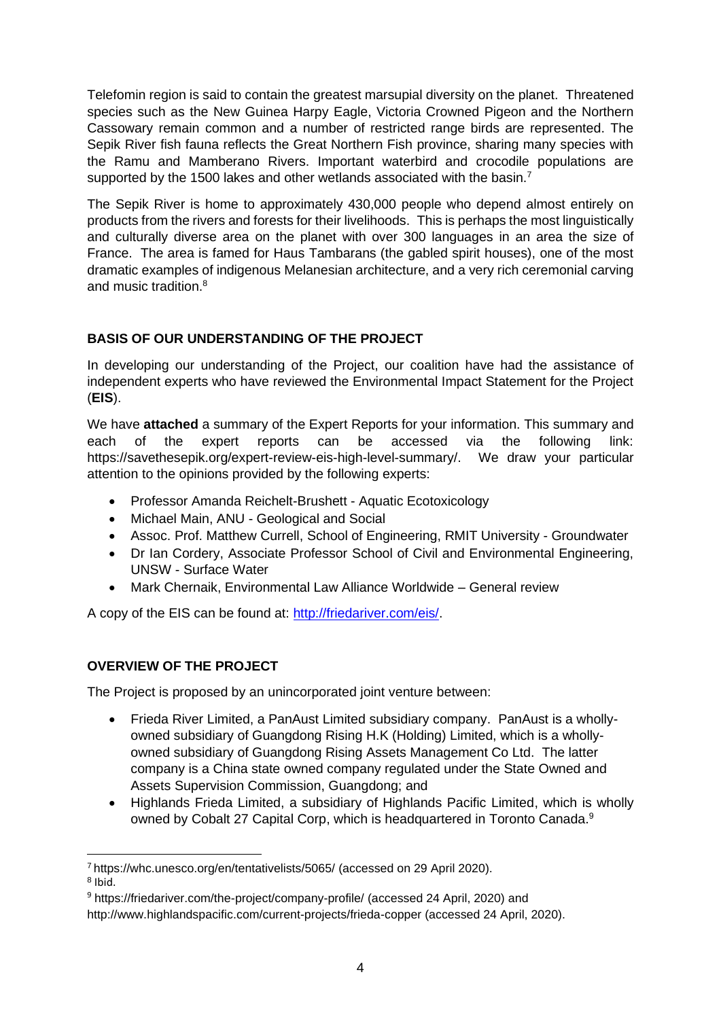Telefomin region is said to contain the greatest marsupial diversity on the planet. Threatened species such as the New Guinea Harpy Eagle, Victoria Crowned Pigeon and the Northern Cassowary remain common and a number of restricted range birds are represented. The Sepik River fish fauna reflects the Great Northern Fish province, sharing many species with the Ramu and Mamberano Rivers. Important waterbird and crocodile populations are supported by the 1500 lakes and other wetlands associated with the basin.<sup>7</sup>

The Sepik River is home to approximately 430,000 people who depend almost entirely on products from the rivers and forests for their livelihoods. This is perhaps the most linguistically and culturally diverse area on the planet with over 300 languages in an area the size of France. The area is famed for Haus Tambarans (the gabled spirit houses), one of the most dramatic examples of indigenous Melanesian architecture, and a very rich ceremonial carving and music tradition.<sup>8</sup>

# **BASIS OF OUR UNDERSTANDING OF THE PROJECT**

In developing our understanding of the Project, our coalition have had the assistance of independent experts who have reviewed the Environmental Impact Statement for the Project (**EIS**).

We have **attached** a summary of the Expert Reports for your information. This summary and each of the expert reports can be accessed via the following link: [https://savethesepik.org/expert-review-eis-high-level-summary/.](https://savethesepik.org/expert-review-eis-high-level-summary/) We draw your particular attention to the opinions provided by the following experts:

- Professor Amanda Reichelt-Brushett Aquatic Ecotoxicology
- Michael Main, ANU Geological and Social
- Assoc. Prof. Matthew Currell, School of Engineering, RMIT University Groundwater
- Dr Ian Cordery, Associate Professor School of Civil and Environmental Engineering, UNSW - Surface Water
- Mark Chernaik, Environmental Law Alliance Worldwide General review

A copy of the EIS can be found at: [http://friedariver.com/eis/.](http://friedariver.com/eis/)

# **OVERVIEW OF THE PROJECT**

The Project is proposed by an unincorporated joint venture between:

- Frieda River Limited, a PanAust Limited subsidiary company. PanAust is a whollyowned subsidiary of Guangdong Rising H.K (Holding) Limited, which is a whollyowned subsidiary of Guangdong Rising Assets Management Co Ltd. The latter company is a China state owned company regulated under the State Owned and Assets Supervision Commission, Guangdong; and
- Highlands Frieda Limited, a subsidiary of Highlands Pacific Limited, which is wholly owned by Cobalt 27 Capital Corp, which is headquartered in Toronto Canada.<sup>9</sup>

<sup>7</sup> <https://whc.unesco.org/en/tentativelists/5065/> (accessed on 29 April 2020).

<sup>8</sup> Ibid.

<sup>9</sup> <https://friedariver.com/the-project/company-profile/> (accessed 24 April, 2020) and

<http://www.highlandspacific.com/current-projects/frieda-copper> (accessed 24 April, 2020).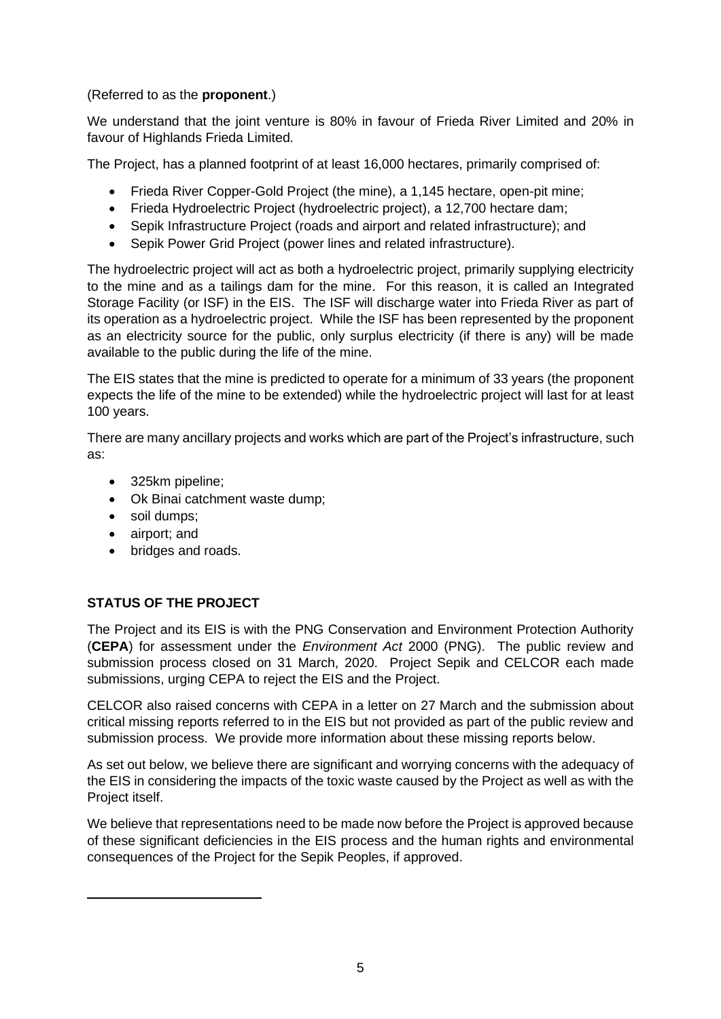(Referred to as the **proponent**.)

We understand that the joint venture is 80% in favour of Frieda River Limited and 20% in favour of Highlands Frieda Limited.

The Project, has a planned footprint of at least 16,000 hectares, primarily comprised of:

- Frieda River Copper-Gold Project (the mine), a 1,145 hectare, open-pit mine;
- Frieda Hydroelectric Project (hydroelectric project), a 12,700 hectare dam;
- Sepik Infrastructure Project (roads and airport and related infrastructure); and
- Sepik Power Grid Project (power lines and related infrastructure).

The hydroelectric project will act as both a hydroelectric project, primarily supplying electricity to the mine and as a tailings dam for the mine. For this reason, it is called an Integrated Storage Facility (or ISF) in the EIS. The ISF will discharge water into Frieda River as part of its operation as a hydroelectric project. While the ISF has been represented by the proponent as an electricity source for the public, only surplus electricity (if there is any) will be made available to the public during the life of the mine.

The EIS states that the mine is predicted to operate for a minimum of 33 years (the proponent expects the life of the mine to be extended) while the hydroelectric project will last for at least 100 years.

There are many ancillary projects and works which are part of the Project's infrastructure, such as:

- 325km pipeline;
- Ok Binai catchment waste dump;
- soil dumps;
- airport; and
- bridges and roads.

## **STATUS OF THE PROJECT**

The Project and its EIS is with the PNG Conservation and Environment Protection Authority (**CEPA**) for assessment under the *Environment Act* 2000 (PNG). The public review and submission process closed on 31 March, 2020. Project Sepik and CELCOR each made submissions, urging CEPA to reject the EIS and the Project.

CELCOR also raised concerns with CEPA in a letter on 27 March and the submission about critical missing reports referred to in the EIS but not provided as part of the public review and submission process. We provide more information about these missing reports below.

As set out below, we believe there are significant and worrying concerns with the adequacy of the EIS in considering the impacts of the toxic waste caused by the Project as well as with the Project itself.

We believe that representations need to be made now before the Project is approved because of these significant deficiencies in the EIS process and the human rights and environmental consequences of the Project for the Sepik Peoples, if approved.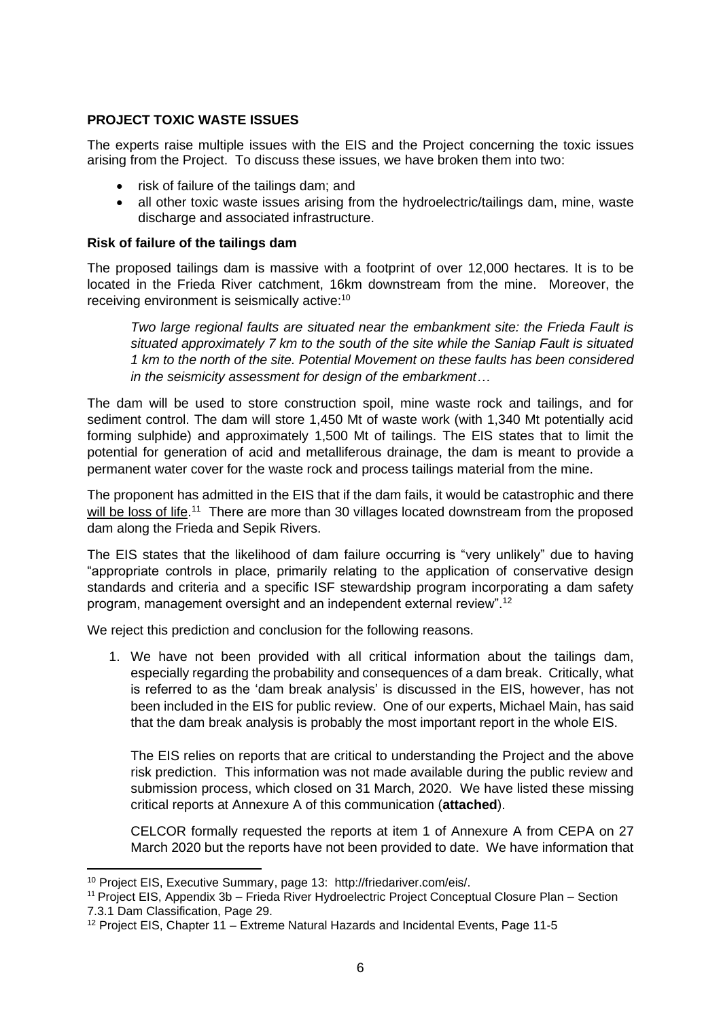### **PROJECT TOXIC WASTE ISSUES**

The experts raise multiple issues with the EIS and the Project concerning the toxic issues arising from the Project. To discuss these issues, we have broken them into two:

- risk of failure of the tailings dam; and
- all other toxic waste issues arising from the hydroelectric/tailings dam, mine, waste discharge and associated infrastructure.

#### **Risk of failure of the tailings dam**

The proposed tailings dam is massive with a footprint of over 12,000 hectares. It is to be located in the Frieda River catchment, 16km downstream from the mine. Moreover, the receiving environment is seismically active:<sup>10</sup>

*Two large regional faults are situated near the embankment site: the Frieda Fault is situated approximately 7 km to the south of the site while the Saniap Fault is situated 1 km to the north of the site. Potential Movement on these faults has been considered in the seismicity assessment for design of the embarkment…*

The dam will be used to store construction spoil, mine waste rock and tailings, and for sediment control. The dam will store 1,450 Mt of waste work (with 1,340 Mt potentially acid forming sulphide) and approximately 1,500 Mt of tailings. The EIS states that to limit the potential for generation of acid and metalliferous drainage, the dam is meant to provide a permanent water cover for the waste rock and process tailings material from the mine.

The proponent has admitted in the EIS that if the dam fails, it would be catastrophic and there will be loss of life.<sup>11</sup> There are more than 30 villages located downstream from the proposed dam along the Frieda and Sepik Rivers.

The EIS states that the likelihood of dam failure occurring is "very unlikely" due to having "appropriate controls in place, primarily relating to the application of conservative design standards and criteria and a specific ISF stewardship program incorporating a dam safety program, management oversight and an independent external review".<sup>12</sup>

We reject this prediction and conclusion for the following reasons.

1. We have not been provided with all critical information about the tailings dam, especially regarding the probability and consequences of a dam break. Critically, what is referred to as the 'dam break analysis' is discussed in the EIS, however, has not been included in the EIS for public review. One of our experts, Michael Main, has said that the dam break analysis is probably the most important report in the whole EIS.

The EIS relies on reports that are critical to understanding the Project and the above risk prediction. This information was not made available during the public review and submission process, which closed on 31 March, 2020. We have listed these missing critical reports at Annexure A of this communication (**attached**).

CELCOR formally requested the reports at item 1 of Annexure A from CEPA on 27 March 2020 but the reports have not been provided to date. We have information that

<sup>10</sup> Project EIS, Executive Summary, page 13: http://friedariver.com/eis/.

<sup>&</sup>lt;sup>11</sup> Project EIS, Appendix 3b – Frieda River Hydroelectric Project Conceptual Closure Plan – Section 7.3.1 Dam Classification, Page 29.

<sup>12</sup> Project EIS, Chapter 11 – Extreme Natural Hazards and Incidental Events, Page 11-5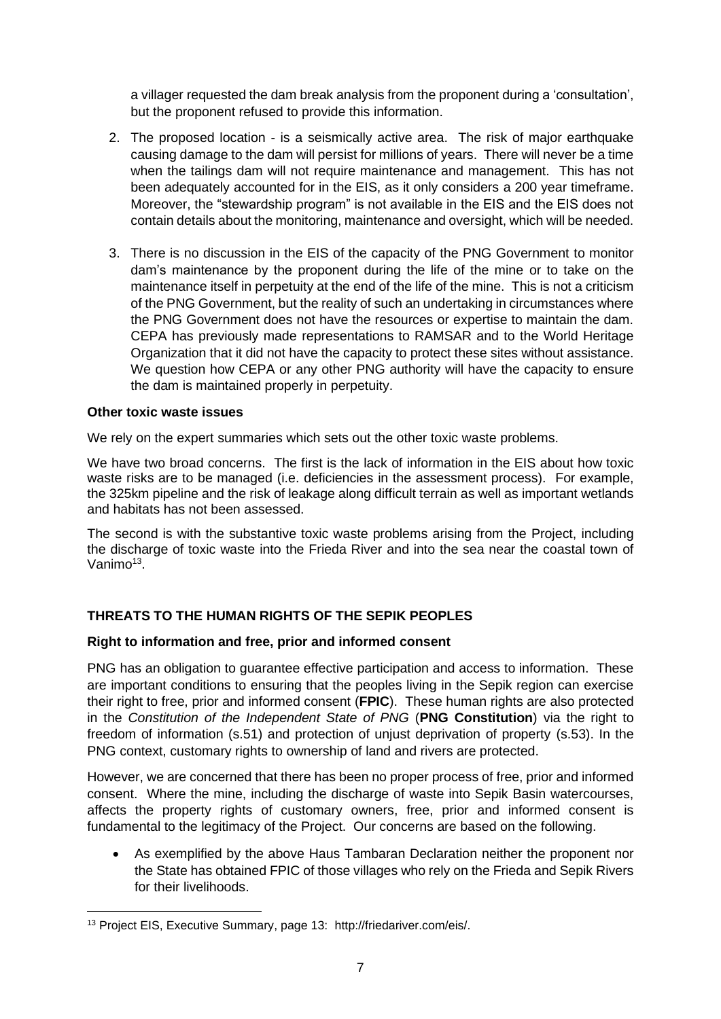a villager requested the dam break analysis from the proponent during a 'consultation', but the proponent refused to provide this information.

- 2. The proposed location is a seismically active area. The risk of major earthquake causing damage to the dam will persist for millions of years. There will never be a time when the tailings dam will not require maintenance and management. This has not been adequately accounted for in the EIS, as it only considers a 200 year timeframe. Moreover, the "stewardship program" is not available in the EIS and the EIS does not contain details about the monitoring, maintenance and oversight, which will be needed.
- 3. There is no discussion in the EIS of the capacity of the PNG Government to monitor dam's maintenance by the proponent during the life of the mine or to take on the maintenance itself in perpetuity at the end of the life of the mine. This is not a criticism of the PNG Government, but the reality of such an undertaking in circumstances where the PNG Government does not have the resources or expertise to maintain the dam. CEPA has previously made representations to RAMSAR and to the World Heritage Organization that it did not have the capacity to protect these sites without assistance. We question how CEPA or any other PNG authority will have the capacity to ensure the dam is maintained properly in perpetuity.

### **Other toxic waste issues**

We rely on the expert summaries which sets out the other toxic waste problems.

We have two broad concerns. The first is the lack of information in the EIS about how toxic waste risks are to be managed (i.e. deficiencies in the assessment process). For example, the 325km pipeline and the risk of leakage along difficult terrain as well as important wetlands and habitats has not been assessed.

The second is with the substantive toxic waste problems arising from the Project, including the discharge of toxic waste into the Frieda River and into the sea near the coastal town of Vanimo<sup>13</sup>.

## **THREATS TO THE HUMAN RIGHTS OF THE SEPIK PEOPLES**

### **Right to information and free, prior and informed consent**

PNG has an obligation to guarantee effective participation and access to information. These are important conditions to ensuring that the peoples living in the Sepik region can exercise their right to free, prior and informed consent (**FPIC**). These human rights are also protected in the *Constitution of the Independent State of PNG* (**PNG Constitution**) via the right to freedom of information (s.51) and protection of unjust deprivation of property (s.53). In the PNG context, customary rights to ownership of land and rivers are protected.

However, we are concerned that there has been no proper process of free, prior and informed consent. Where the mine, including the discharge of waste into Sepik Basin watercourses, affects the property rights of customary owners, free, prior and informed consent is fundamental to the legitimacy of the Project. Our concerns are based on the following.

As exemplified by the above Haus Tambaran Declaration neither the proponent nor the State has obtained FPIC of those villages who rely on the Frieda and Sepik Rivers for their livelihoods.

<sup>13</sup> Project EIS, Executive Summary, page 13: http://friedariver.com/eis/.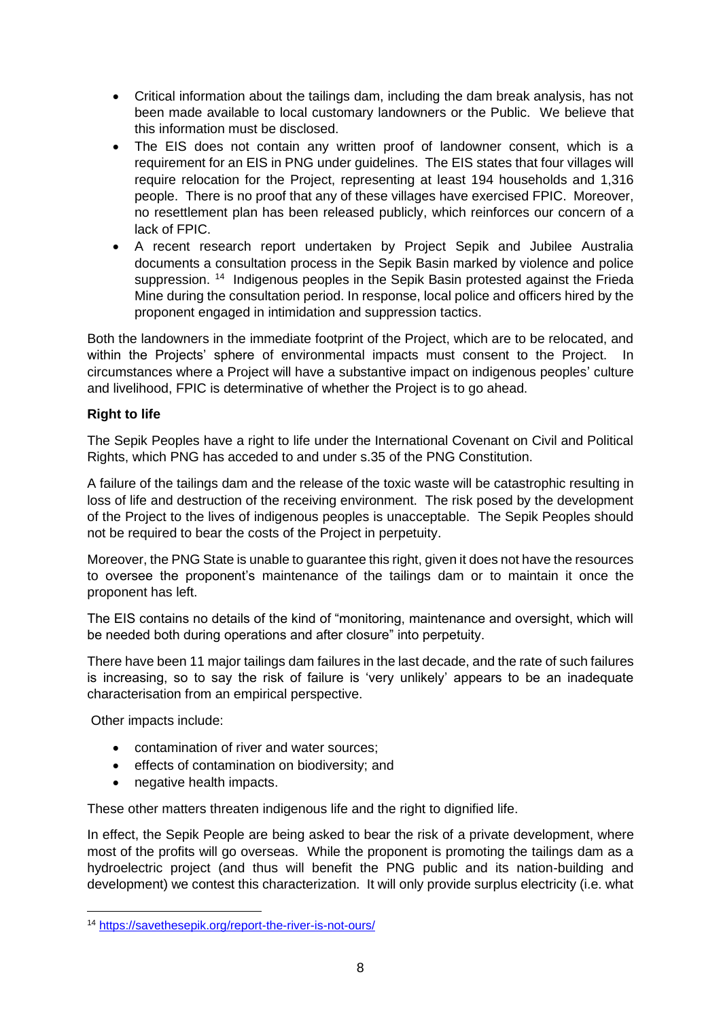- Critical information about the tailings dam, including the dam break analysis, has not been made available to local customary landowners or the Public. We believe that this information must be disclosed.
- The EIS does not contain any written proof of landowner consent, which is a requirement for an EIS in PNG under guidelines. The EIS states that four villages will require relocation for the Project, representing at least 194 households and 1,316 people. There is no proof that any of these villages have exercised FPIC. Moreover, no resettlement plan has been released publicly, which reinforces our concern of a lack of FPIC.
- A recent research report undertaken by Project Sepik and Jubilee Australia documents a consultation process in the Sepik Basin marked by violence and police suppression.<sup>14</sup> Indigenous peoples in the Sepik Basin protested against the Frieda Mine during the consultation period. In response, local police and officers hired by the proponent engaged in intimidation and suppression tactics.

Both the landowners in the immediate footprint of the Project, which are to be relocated, and within the Projects' sphere of environmental impacts must consent to the Project. In circumstances where a Project will have a substantive impact on indigenous peoples' culture and livelihood, FPIC is determinative of whether the Project is to go ahead.

## **Right to life**

The Sepik Peoples have a right to life under the International Covenant on Civil and Political Rights, which PNG has acceded to and under s.35 of the PNG Constitution.

A failure of the tailings dam and the release of the toxic waste will be catastrophic resulting in loss of life and destruction of the receiving environment. The risk posed by the development of the Project to the lives of indigenous peoples is unacceptable. The Sepik Peoples should not be required to bear the costs of the Project in perpetuity.

Moreover, the PNG State is unable to guarantee this right, given it does not have the resources to oversee the proponent's maintenance of the tailings dam or to maintain it once the proponent has left.

The EIS contains no details of the kind of "monitoring, maintenance and oversight, which will be needed both during operations and after closure" into perpetuity.

There have been 11 major tailings dam failures in the last decade, and the rate of such failures is increasing, so to say the risk of failure is 'very unlikely' appears to be an inadequate characterisation from an empirical perspective.

Other impacts include:

- contamination of river and water sources;
- effects of contamination on biodiversity; and
- negative health impacts.

These other matters threaten indigenous life and the right to dignified life.

In effect, the Sepik People are being asked to bear the risk of a private development, where most of the profits will go overseas. While the proponent is promoting the tailings dam as a hydroelectric project (and thus will benefit the PNG public and its nation-building and development) we contest this characterization. It will only provide surplus electricity (i.e. what

<sup>14</sup> <https://savethesepik.org/report-the-river-is-not-ours/>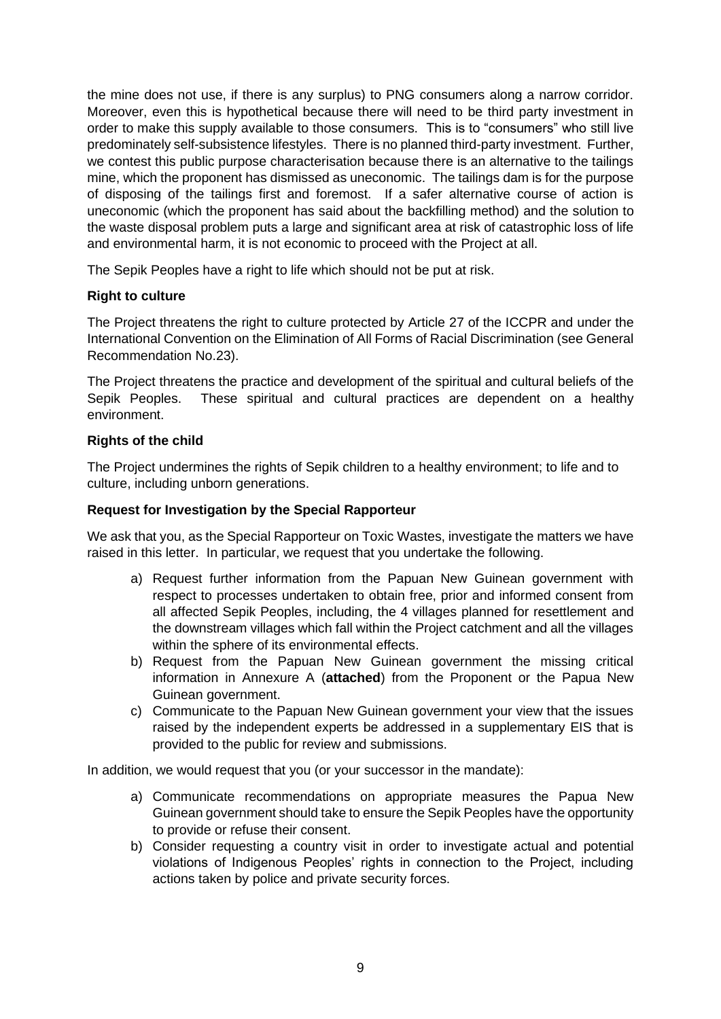the mine does not use, if there is any surplus) to PNG consumers along a narrow corridor. Moreover, even this is hypothetical because there will need to be third party investment in order to make this supply available to those consumers. This is to "consumers" who still live predominately self-subsistence lifestyles. There is no planned third-party investment. Further, we contest this public purpose characterisation because there is an alternative to the tailings mine, which the proponent has dismissed as uneconomic. The tailings dam is for the purpose of disposing of the tailings first and foremost. If a safer alternative course of action is uneconomic (which the proponent has said about the backfilling method) and the solution to the waste disposal problem puts a large and significant area at risk of catastrophic loss of life and environmental harm, it is not economic to proceed with the Project at all.

The Sepik Peoples have a right to life which should not be put at risk.

### **Right to culture**

The Project threatens the right to culture protected by Article 27 of the ICCPR and under the International Convention on the Elimination of All Forms of Racial Discrimination (see General Recommendation No.23).

The Project threatens the practice and development of the spiritual and cultural beliefs of the Sepik Peoples. These spiritual and cultural practices are dependent on a healthy environment.

### **Rights of the child**

The Project undermines the rights of Sepik children to a healthy environment; to life and to culture, including unborn generations.

#### **Request for Investigation by the Special Rapporteur**

We ask that you, as the Special Rapporteur on Toxic Wastes, investigate the matters we have raised in this letter. In particular, we request that you undertake the following.

- a) Request further information from the Papuan New Guinean government with respect to processes undertaken to obtain free, prior and informed consent from all affected Sepik Peoples, including, the 4 villages planned for resettlement and the downstream villages which fall within the Project catchment and all the villages within the sphere of its environmental effects.
- b) Request from the Papuan New Guinean government the missing critical information in Annexure A (**attached**) from the Proponent or the Papua New Guinean government.
- c) Communicate to the Papuan New Guinean government your view that the issues raised by the independent experts be addressed in a supplementary EIS that is provided to the public for review and submissions.

In addition, we would request that you (or your successor in the mandate):

- a) Communicate recommendations on appropriate measures the Papua New Guinean government should take to ensure the Sepik Peoples have the opportunity to provide or refuse their consent.
- b) Consider requesting a country visit in order to investigate actual and potential violations of Indigenous Peoples' rights in connection to the Project, including actions taken by police and private security forces.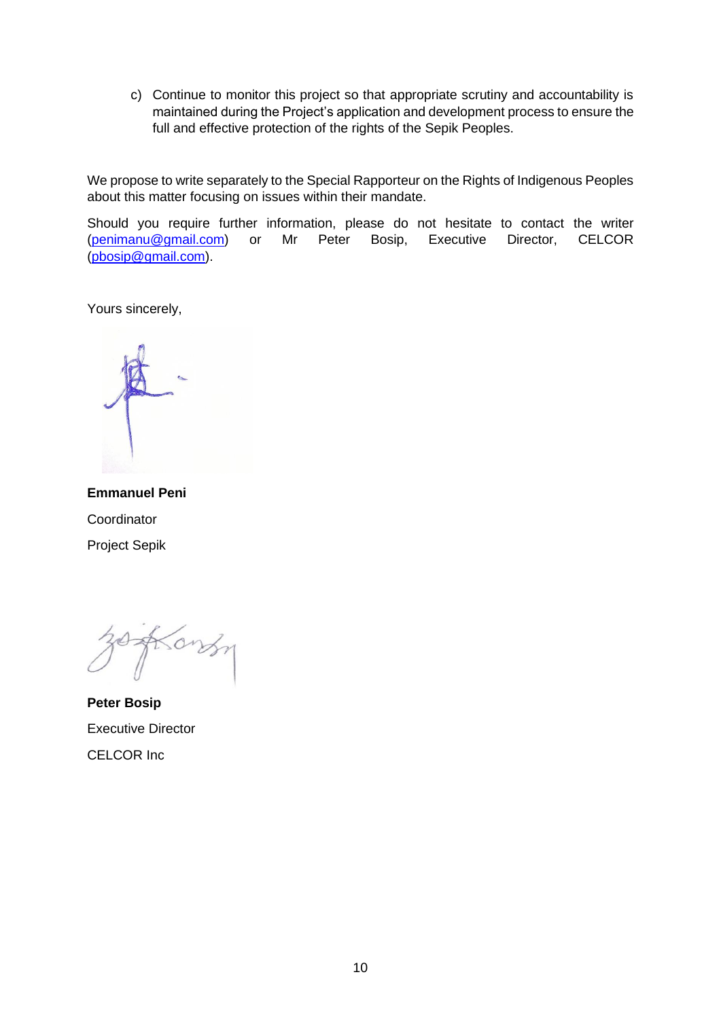c) Continue to monitor this project so that appropriate scrutiny and accountability is maintained during the Project's application and development process to ensure the full and effective protection of the rights of the Sepik Peoples.

We propose to write separately to the Special Rapporteur on the Rights of Indigenous Peoples about this matter focusing on issues within their mandate.

Should you require further information, please do not hesitate to contact the writer [\(penimanu@gmail.com\)](mailto:penimanu@gmail.com) or Mr Peter Bosip, Executive Director, CELCOR [\(pbosip@gmail.com\)](mailto:pbosip@gmail.com).

Yours sincerely,

**Emmanuel Peni Coordinator** Project Sepik

Song

**Peter Bosip** Executive Director CELCOR Inc